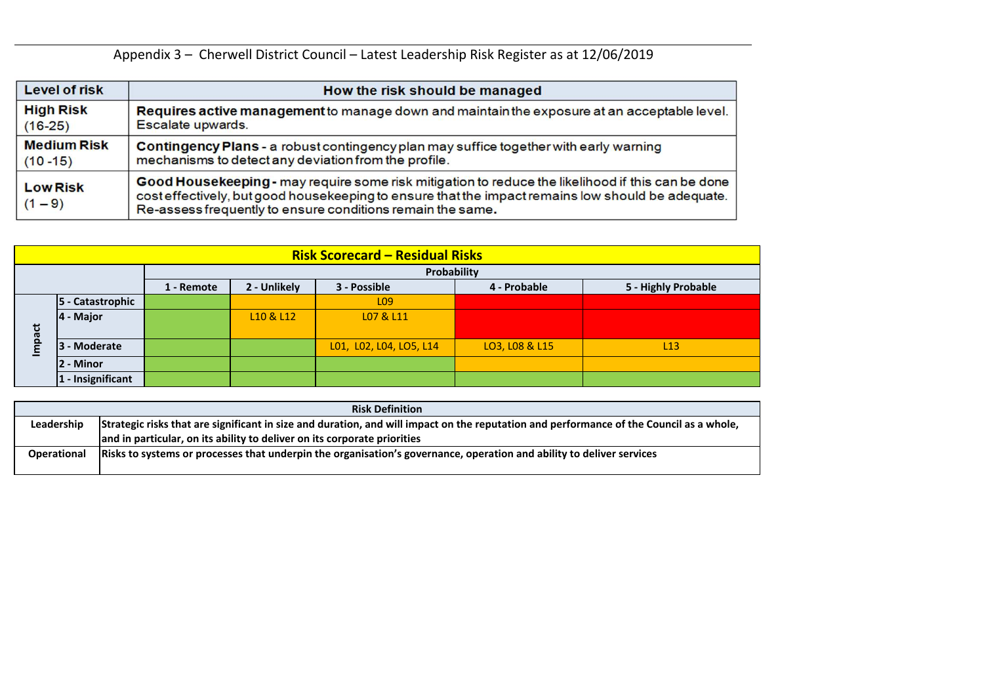|                    | <b>Risk Definition</b>                                                                                                                  |
|--------------------|-----------------------------------------------------------------------------------------------------------------------------------------|
| Leadership         | Strategic risks that are significant in size and duration, and will impact on the reputation and performance of the Council as a whole, |
|                    | and in particular, on its ability to deliver on its corporate priorities                                                                |
| <b>Operational</b> | Risks to systems or processes that underpin the organisation's governance, operation and ability to deliver services                    |
|                    |                                                                                                                                         |



Appendix 3 – Cherwell District Council – Latest Leadership Risk Register as at 12/06/2019

| <b>Level of risk</b>         | How the risk should be managed                                                                                                                                                                                                                                       |
|------------------------------|----------------------------------------------------------------------------------------------------------------------------------------------------------------------------------------------------------------------------------------------------------------------|
| <b>High Risk</b>             | Requires active management to manage down and maintain the exposure at an acceptable level.                                                                                                                                                                          |
| $(16-25)$                    | Escalate upwards.                                                                                                                                                                                                                                                    |
| <b>Medium Risk</b>           | Contingency Plans - a robust contingency plan may suffice together with early warning                                                                                                                                                                                |
| $(10 - 15)$                  | mechanisms to detect any deviation from the profile.                                                                                                                                                                                                                 |
| <b>Low Risk</b><br>$(1 - 9)$ | Good Housekeeping - may require some risk mitigation to reduce the likelihood if this can be done<br>cost effectively, but good housekeeping to ensure that the impact remains low should be adequate.<br>Re-assess frequently to ensure conditions remain the same. |

|          |                        |             |              | <b>Risk Scorecard – Residual Risks</b> |                |                     |  |  |  |  |  |  |  |  |  |  |
|----------|------------------------|-------------|--------------|----------------------------------------|----------------|---------------------|--|--|--|--|--|--|--|--|--|--|
|          |                        | Probability |              |                                        |                |                     |  |  |  |  |  |  |  |  |  |  |
|          |                        | 1 - Remote  | 2 - Unlikely | 3 - Possible                           | 4 - Probable   | 5 - Highly Probable |  |  |  |  |  |  |  |  |  |  |
|          | 5 - Catastrophic       |             |              | L <sub>09</sub>                        |                |                     |  |  |  |  |  |  |  |  |  |  |
| pact     | $ 4 -$ Major           |             | L10 & L12    | L07 & L11                              |                |                     |  |  |  |  |  |  |  |  |  |  |
| <u>ទ</u> | <b>- Moderate</b><br>3 |             |              | L01, L02, L04, LO5, L14                | LO3, L08 & L15 | L13                 |  |  |  |  |  |  |  |  |  |  |
|          | 2 - Minor              |             |              |                                        |                |                     |  |  |  |  |  |  |  |  |  |  |
|          | $ 1 -$ Insignificant   |             |              |                                        |                |                     |  |  |  |  |  |  |  |  |  |  |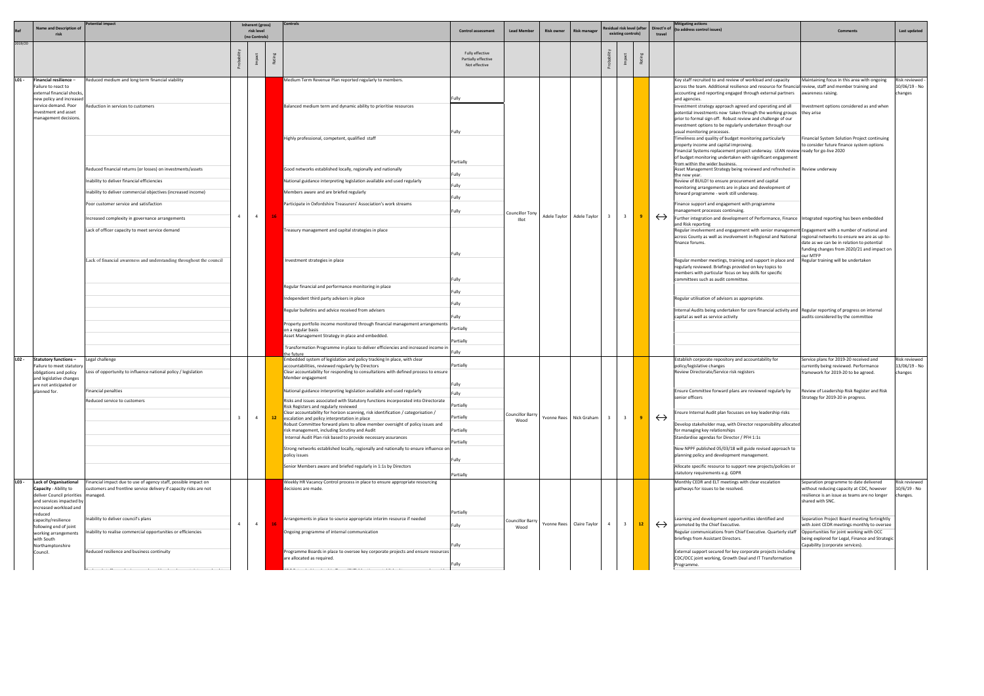|         | <b>Name and Description of</b><br>risk                                                                                                                | tential impact                                                                                                                                                |                | Inherent (gross)<br>risk level |         | Controls                                                                                                                                                                                                            | <b>Control assessment</b>                               | <b>Lead Member</b>              | <b>Risk owner</b> | <b>Risk manager</b>       |                         | lesidual risk level (after<br>existing controls) |                 | Direct'n of<br>travel | <b>Mitigating actions</b><br>(to address control issues)                                                                                                                                                                                                                                        | <b>Comments</b>                                                                                                                                          | Last updated                                |
|---------|-------------------------------------------------------------------------------------------------------------------------------------------------------|---------------------------------------------------------------------------------------------------------------------------------------------------------------|----------------|--------------------------------|---------|---------------------------------------------------------------------------------------------------------------------------------------------------------------------------------------------------------------------|---------------------------------------------------------|---------------------------------|-------------------|---------------------------|-------------------------|--------------------------------------------------|-----------------|-----------------------|-------------------------------------------------------------------------------------------------------------------------------------------------------------------------------------------------------------------------------------------------------------------------------------------------|----------------------------------------------------------------------------------------------------------------------------------------------------------|---------------------------------------------|
| 2019/20 |                                                                                                                                                       |                                                                                                                                                               |                | (no Controls)                  |         |                                                                                                                                                                                                                     |                                                         |                                 |                   |                           |                         |                                                  |                 |                       |                                                                                                                                                                                                                                                                                                 |                                                                                                                                                          |                                             |
|         |                                                                                                                                                       |                                                                                                                                                               |                |                                | Rat     |                                                                                                                                                                                                                     | Fully effective<br>Partially effective<br>Not effective |                                 |                   |                           |                         |                                                  |                 |                       |                                                                                                                                                                                                                                                                                                 |                                                                                                                                                          |                                             |
| $LO1 -$ | Financial resilience -<br>Failure to react to<br>external financial shocks,<br>new policy and increased                                               | Reduced medium and long term financial viability                                                                                                              |                |                                |         | Medium Term Revenue Plan reported regularly to members.                                                                                                                                                             | Fully                                                   |                                 |                   |                           |                         |                                                  |                 |                       | Key staff recruited to and review of workload and capacity<br>across the team. Additional resilience and resource for financial review, staff and member training and<br>accounting and reporting engaged through external partners<br>and agencies.                                            | Maintaining focus in this area with ongoing<br>awareness raising.                                                                                        | Risk reviewed -<br>10/06/19 - No<br>changes |
|         | service demand. Poor<br>investment and asset<br>management decisions.                                                                                 | teduction in services to customers                                                                                                                            |                |                                |         | Balanced medium term and dynamic ability to prioritise resources                                                                                                                                                    | lFully                                                  |                                 |                   |                           |                         |                                                  |                 |                       | Investment strategy approach agreed and operating and all<br>potential investments now taken through the working groups Ithey arise<br>prior to formal sign off. Robust review and challenge of our<br>investment options to be regularly undertaken through our<br>usual monitoring processes. | nvestment options considered as and when                                                                                                                 |                                             |
|         |                                                                                                                                                       |                                                                                                                                                               |                |                                |         | Highly professional, competent, qualified staff                                                                                                                                                                     | Partially                                               |                                 |                   |                           |                         |                                                  |                 |                       | Timeliness and quality of budget monitoring particularly<br>property income and capital improving.<br>Financial Systems replacement project underway. LEAN review ready for go-live 2020<br>of budget monitoring undertaken with significant engagement                                         | Financial System Solution Project continuing<br>to consider future finance system options                                                                |                                             |
|         |                                                                                                                                                       | Reduced financial returns (or losses) on investments/assets                                                                                                   |                |                                |         | Good networks established locally, regionally and nationally                                                                                                                                                        | Fully                                                   |                                 |                   |                           |                         |                                                  |                 |                       | from within the wider business.<br>Asset Management Strategy being reviewed and refreshed in Review underway<br>the new year.                                                                                                                                                                   |                                                                                                                                                          |                                             |
|         |                                                                                                                                                       | Inability to deliver financial efficiencies<br>Inability to deliver commercial objectives (increased income)                                                  |                |                                |         | National guidance interpreting legislation available and used regularly<br>Members aware and are briefed regularly                                                                                                  | Fully                                                   |                                 |                   |                           |                         |                                                  |                 |                       | Review of BUILD! to ensure procurement and capital<br>monitoring arrangements are in place and development of                                                                                                                                                                                   |                                                                                                                                                          |                                             |
|         |                                                                                                                                                       | Poor customer service and satisfaction<br>Increased complexity in governance arrangements                                                                     | $\overline{4}$ | $\overline{4}$                 |         | Participate in Oxfordshire Treasurers' Association's work streams                                                                                                                                                   | Fully<br>Fully                                          | Councillor Tony                 | Adele Taylor      | Adele Taylor              | $\overline{\mathbf{3}}$ |                                                  |                 | $\leftrightarrow$     | forward programme - work still underway.<br>Finance support and engagement with programme<br>management processes continuing.<br>Further integration and development of Performance, Finance Integrated reporting has been embedded                                                             |                                                                                                                                                          |                                             |
|         |                                                                                                                                                       | Lack of officer capacity to meet service demand                                                                                                               |                |                                |         | Freasury management and capital strategies in place                                                                                                                                                                 |                                                         | Illot                           |                   |                           |                         |                                                  |                 |                       | and Risk reporting<br>Regular involvement and engagement with senior management Engagement with a number of national and<br>across County as well as involvement in Regional and National regional networks to ensure we are as up-to-<br>finance forums.                                       | date as we can be in relation to potential<br>funding changes from 2020/21 and impact on                                                                 |                                             |
|         |                                                                                                                                                       | Lack of financial awareness and understanding throughout the council                                                                                          |                |                                |         | Investment strategies in place                                                                                                                                                                                      | Fully<br>Fully                                          |                                 |                   |                           |                         |                                                  |                 |                       | Regular member meetings, training and support in place and<br>regularly reviewed. Briefings provided on key topics to<br>members with particular focus on key skills for specific<br>committees such as audit committee                                                                         | າມr MTFP<br>Regular training will be undertaken                                                                                                          |                                             |
|         |                                                                                                                                                       |                                                                                                                                                               |                |                                |         | Regular financial and performance monitoring in place<br>Independent third party advisers in place                                                                                                                  | Fully                                                   |                                 |                   |                           |                         |                                                  |                 |                       | Regular utilisation of advisors as appropriate.                                                                                                                                                                                                                                                 |                                                                                                                                                          |                                             |
|         |                                                                                                                                                       |                                                                                                                                                               |                |                                |         | Regular bulletins and advice received from advisers                                                                                                                                                                 | Fully<br>Fully                                          |                                 |                   |                           |                         |                                                  |                 |                       | Internal Audits being undertaken for core financial activity and Regular reporting of progress on internal<br>capital as well as service activity                                                                                                                                               | audits considered by the committee                                                                                                                       |                                             |
|         |                                                                                                                                                       |                                                                                                                                                               |                |                                |         | Property portfolio income monitored through financial management arrangements<br>on a regular basis                                                                                                                 | Partially                                               |                                 |                   |                           |                         |                                                  |                 |                       |                                                                                                                                                                                                                                                                                                 |                                                                                                                                                          |                                             |
|         |                                                                                                                                                       |                                                                                                                                                               |                |                                |         | Asset Management Strategy in place and embedded.<br>Transformation Programme in place to deliver efficiencies and increased income in                                                                               | Partially                                               |                                 |                   |                           |                         |                                                  |                 |                       |                                                                                                                                                                                                                                                                                                 |                                                                                                                                                          |                                             |
| LO2 -   |                                                                                                                                                       |                                                                                                                                                               |                |                                |         | the future                                                                                                                                                                                                          | Fully                                                   |                                 |                   |                           |                         |                                                  |                 |                       | Establish corporate repository and accountability for                                                                                                                                                                                                                                           |                                                                                                                                                          |                                             |
|         | <b>Statutory functions -</b><br>Failure to meet statutory<br>obligations and policy                                                                   | Legal challenge<br>Loss of opportunity to influence national policy / legislation                                                                             |                |                                |         | Embedded system of legislation and policy tracking In place, with clear<br>accountabilities, reviewed regularly by Directors<br>Clear accountability for responding to consultations with defined process to ensure | Partially                                               |                                 |                   |                           |                         |                                                  |                 |                       | policy/legislative changes<br>Review Directorate/Service risk registers                                                                                                                                                                                                                         | Service plans for 2019-20 received and<br>currently being reviewed. Performance<br>framework for 2019-20 to be agreed.                                   | Risk reviewed<br>13/06/19 - No<br>changes   |
|         | and legislative changes<br>are not anticipated or<br>planned for.                                                                                     | inancial penalties                                                                                                                                            |                |                                |         | Member engagement<br>National guidance interpreting legislation available and used regularly                                                                                                                        | Fully                                                   |                                 |                   |                           |                         |                                                  |                 |                       | sure Committee forward plans are reviewed regularly by Review of Leadership Risk Register and Risk                                                                                                                                                                                              |                                                                                                                                                          |                                             |
|         |                                                                                                                                                       | Reduced service to customers                                                                                                                                  |                |                                |         | Risks and issues associated with Statutory functions incorporated into Directorate<br>Risk Registers and regularly reviewed                                                                                         | Fully<br>Partially                                      |                                 |                   |                           |                         |                                                  |                 |                       | senior officers                                                                                                                                                                                                                                                                                 | Strategy for 2019-20 in progress.                                                                                                                        |                                             |
|         |                                                                                                                                                       |                                                                                                                                                               |                | $\overline{4}$                 | $12-12$ | Clear accountability for horizon scanning, risk identification / categorisation /<br>escalation and policy interpretation in place                                                                                  | Partially                                               | <b>Councillor Barry</b><br>Wood |                   | Yvonne Rees Nick Graham   | $\overline{\mathbf{3}}$ |                                                  |                 | $\leftrightarrow$     | nsure Internal Audit plan focusses on key leadership risks                                                                                                                                                                                                                                      |                                                                                                                                                          |                                             |
|         |                                                                                                                                                       |                                                                                                                                                               |                |                                |         | Robust Committee forward plans to allow member oversight of policy issues and<br>risk management, including Scrutiny and Audit<br>Internal Audit Plan risk based to provide necessary assurances                    | Partially                                               |                                 |                   |                           |                         |                                                  |                 |                       | Develop stakeholder map, with Director responsibility allocated<br>for managing key relationships<br>Standardise agendas for Director / PFH 1:1s                                                                                                                                                |                                                                                                                                                          |                                             |
|         |                                                                                                                                                       |                                                                                                                                                               |                |                                |         | Strong networks established locally, regionally and nationally to ensure influence on<br>policy issues                                                                                                              | Partially<br>Fully                                      |                                 |                   |                           |                         |                                                  |                 |                       | New NPPF published 05/03/18 will guide revised approach to<br>planning policy and development management.                                                                                                                                                                                       |                                                                                                                                                          |                                             |
|         |                                                                                                                                                       |                                                                                                                                                               |                |                                |         | Senior Members aware and briefed regularly in 1:1s by Directors                                                                                                                                                     | Partially                                               |                                 |                   |                           |                         |                                                  |                 |                       | Allocate specific resource to support new projects/policies or<br>statutory requirements e.g. GDPR                                                                                                                                                                                              |                                                                                                                                                          |                                             |
| L03 -   | <b>Lack of Organisational</b><br>Capacity - Ability to<br>deliver Council priorities   managed.<br>and services impacted by<br>increased workload and | Financial impact due to use of agency staff, possible impact on<br>ustomers and frontline service delivery if capacity risks are not                          |                |                                |         | Weekly HR Vacancy Control process in place to ensure appropriate resourcing<br>decisions are made.                                                                                                                  | Partially                                               |                                 |                   |                           |                         |                                                  |                 |                       | Monthly CEDR and ELT meetings with clear escalation<br>pathways for issues to be resolved.                                                                                                                                                                                                      | Separation programme to date delivered<br>without reducing capacity at CDC, however<br>resilience is an issue as teams are no longer<br>shared with SNC. | Risk reviewed<br>10/6/19 - No<br>changes.   |
|         | reduced<br>capacity/resilience<br>following end of joint                                                                                              | Inability to deliver council's plans                                                                                                                          | $\overline{4}$ | $\overline{4}$                 |         | Arrangements in place to source appropriate interim resource if needed                                                                                                                                              | Fully                                                   | Councillor Barry<br>Wood        |                   | Yvonne Rees Claire Taylor | $\overline{4}$          |                                                  | 12 <sub>2</sub> | $\leftrightarrow$     | earning and development opportunities identified and<br>promoted by the Chief Executive.                                                                                                                                                                                                        | Separation Project Board meeting fortnightly<br>with Joint CEDR meetings monthly to oversee                                                              |                                             |
|         | working arrangements<br>with South<br>Northamptonshire                                                                                                | nability to realise commercial opportunities or efficiencies                                                                                                  |                |                                |         | Ongoing programme of internal communication                                                                                                                                                                         | Fully                                                   |                                 |                   |                           |                         |                                                  |                 |                       | Regular communications from Chief Executive. Quarterly staff<br>briefings from Assistant Directors.                                                                                                                                                                                             | Opportunities for joint working with OCC<br>being explored for Legal, Finance and Strategic<br>Capability (corporate services).                          |                                             |
|         | Council.                                                                                                                                              | Reduced resilience and business continuity<br>the contract of the contract of the contract of the contract of the contract of the contract of the contract of |                |                                |         | Programme Boards in place to oversee key corporate projects and ensure resources<br>are allocated as required.<br>يترافعون المترافع والمستكفى الكروبي والتوافى المتحكم                                              | Fully                                                   |                                 |                   |                           |                         |                                                  |                 |                       | External support secured for key corporate projects including<br>CDC/OCC joint working, Growth Deal and IT Transformation<br>Programme.                                                                                                                                                         |                                                                                                                                                          |                                             |
|         |                                                                                                                                                       |                                                                                                                                                               |                |                                |         |                                                                                                                                                                                                                     |                                                         |                                 |                   |                           |                         |                                                  |                 |                       |                                                                                                                                                                                                                                                                                                 |                                                                                                                                                          |                                             |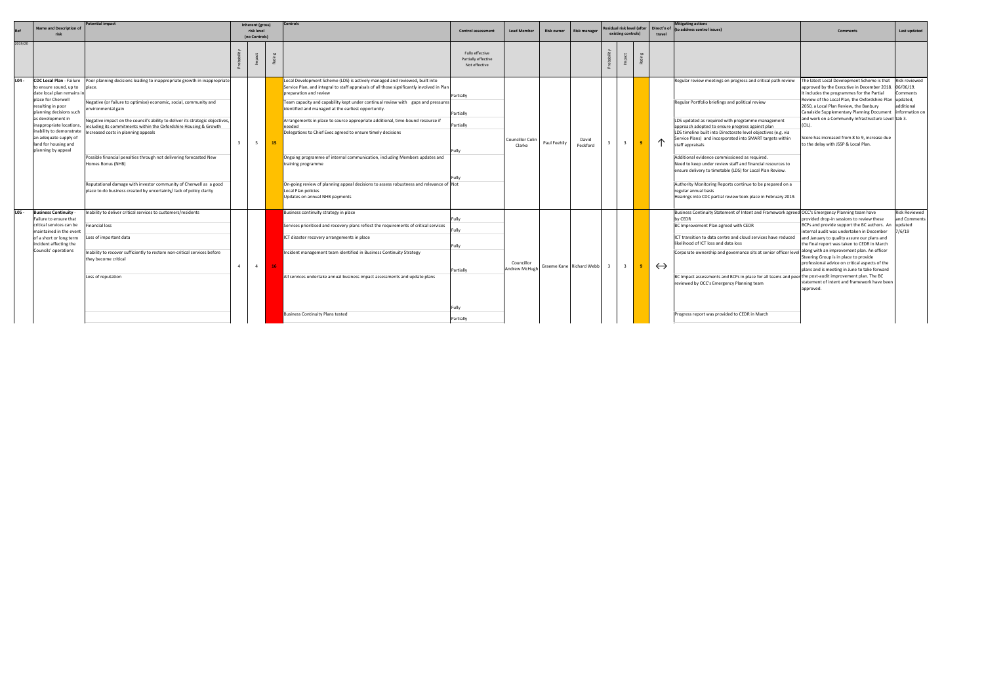|                 | <b>Name and Description of</b>                                                                                                                                                                                                                                                                                    | otential impact                                                                                                                                                                                                                                                                                                                                                                                                                                                                                                                                                                                                |                | Inherent (gross)            |     | Controls                                                                                                                                                                                                                                                                                                                                                                                                                                                                                                                                                                                                                                                                                                                                              |                                                             |                                   |                          |                     |    |                         | esidual risk level (after | Direct'n of       | <b>Mitigating actions</b><br>(to address control issues)                                                                                                                                                                                                                                                                                                                                                                                                                                                                                                                                                                                                                                                       |                                                                                                                                                                                                                                                                                                                                                                                                                                                           |                                                             |
|-----------------|-------------------------------------------------------------------------------------------------------------------------------------------------------------------------------------------------------------------------------------------------------------------------------------------------------------------|----------------------------------------------------------------------------------------------------------------------------------------------------------------------------------------------------------------------------------------------------------------------------------------------------------------------------------------------------------------------------------------------------------------------------------------------------------------------------------------------------------------------------------------------------------------------------------------------------------------|----------------|-----------------------------|-----|-------------------------------------------------------------------------------------------------------------------------------------------------------------------------------------------------------------------------------------------------------------------------------------------------------------------------------------------------------------------------------------------------------------------------------------------------------------------------------------------------------------------------------------------------------------------------------------------------------------------------------------------------------------------------------------------------------------------------------------------------------|-------------------------------------------------------------|-----------------------------------|--------------------------|---------------------|----|-------------------------|---------------------------|-------------------|----------------------------------------------------------------------------------------------------------------------------------------------------------------------------------------------------------------------------------------------------------------------------------------------------------------------------------------------------------------------------------------------------------------------------------------------------------------------------------------------------------------------------------------------------------------------------------------------------------------------------------------------------------------------------------------------------------------|-----------------------------------------------------------------------------------------------------------------------------------------------------------------------------------------------------------------------------------------------------------------------------------------------------------------------------------------------------------------------------------------------------------------------------------------------------------|-------------------------------------------------------------|
|                 | risk                                                                                                                                                                                                                                                                                                              |                                                                                                                                                                                                                                                                                                                                                                                                                                                                                                                                                                                                                |                | risk level<br>(no Controls) |     |                                                                                                                                                                                                                                                                                                                                                                                                                                                                                                                                                                                                                                                                                                                                                       | <b>Control assessment</b>                                   | <b>Lead Member</b>                | <b>Risk owner</b>        | <b>Risk manager</b> |    | existing controls)      |                           | travel            |                                                                                                                                                                                                                                                                                                                                                                                                                                                                                                                                                                                                                                                                                                                | <b>Comments</b>                                                                                                                                                                                                                                                                                                                                                                                                                                           | Last updated                                                |
| 2019/20         |                                                                                                                                                                                                                                                                                                                   |                                                                                                                                                                                                                                                                                                                                                                                                                                                                                                                                                                                                                |                |                             |     |                                                                                                                                                                                                                                                                                                                                                                                                                                                                                                                                                                                                                                                                                                                                                       | Fully effective<br>Partially effective<br>Not effective     |                                   |                          |                     |    |                         |                           |                   |                                                                                                                                                                                                                                                                                                                                                                                                                                                                                                                                                                                                                                                                                                                |                                                                                                                                                                                                                                                                                                                                                                                                                                                           |                                                             |
| L <sub>04</sub> | <b>CDC Local Plan - Failure</b><br>to ensure sound, up to<br>date local plan remains in<br>place for Cherwell<br>resulting in poor<br>planning decisions such<br>as development in<br>inappropriate locations,<br>inability to demonstrate<br>an adequate supply of<br>land for housing and<br>planning by appeal | Poor planning decisions leading to inappropriate growth in inappropriate<br>place.<br>Negative (or failure to optimise) economic, social, community and<br>environmental gain<br>Negative impact on the council's ability to deliver its strategic objectives<br>including its commitments within the Oxfordshire Housing & Growth<br>creased costs in planning appeals<br>Possible financial penalties through not delivering forecasted New<br>Homes Bonus (NHB)<br>Reputational damage with investor community of Cherwell as a good<br>place to do business created by uncertainty/ lack of policy clarity | -3             | 5 <sup>5</sup>              | 15  | Local Development Scheme (LDS) is actively managed and reviewed, built into<br>Service Plan, and integral to staff appraisals of all those significantly involved in Plan<br>preparation and review<br>Feam capacity and capability kept under continual review with gaps and pressures<br>identified and managed at the earliest opportunity.<br>Arrangements in place to source appropriate additional, time-bound resource if<br>Delegations to Chief Exec agreed to ensure timely decisions<br>Ongoing programme of internal communication, including Members updates and<br>training programme<br>On-going review of planning appeal decisions to assess robustness and relevance of Not<br>ocal Plan policies<br>Jpdates on annual NHB payments | Partially<br>Partially<br>Partially<br>Fully<br>Fully       | <b>Councillor Colin</b><br>Clarke | Paul Feehily             | David<br>Peckford   |    | $\overline{3}$          | -9                        | ↑                 | Regular review meetings on progress and critical path review<br>Regular Portfolio briefings and political review<br>LDS updated as required with programme management<br>approach adopted to ensure progress against plan<br>LDS timeline built into Directorate level objectives (e.g. via<br>Service Plans) and incorporated into SMART targets within<br>staff appraisals<br>Additional evidence commissioned as required.<br>Need to keep under review staff and financial resources to<br>ensure delivery to timetable (LDS) for Local Plan Review.<br>Authority Monitoring Reports continue to be prepared on a<br>regular annual basis<br>Hearings into CDC partial review took place in February 2019. | The latest Local Development Scheme is that<br>approved by the Executive in December 2018.<br>It includes the programmes for the Partial<br>Review of the Local Plan, the Oxfordshire Plan updated,<br>2050, a Local Plan Review, the Banbury<br>Canalside Supplementary Planning Document information on<br>and work on a Community Infrastructure Level tab 3.<br>Score has increased from 8 to 9, increase due<br>to the delay with JSSP & Local Plan. | <b>Risk reviewed</b><br>06/06/19.<br>Comments<br>additional |
| L05 -           | <b>Business Continuity -</b><br>Failure to ensure that<br>critical services can be<br>maintained in the event<br>of a short or long term<br>incident affecting the<br>Councils' operations                                                                                                                        | Inability to deliver critical services to customers/residents<br>inancial loss<br>Loss of important data<br>Inability to recover sufficiently to restore non-critical services before<br>they become critical<br>Loss of reputation                                                                                                                                                                                                                                                                                                                                                                            | $\overline{4}$ | $\overline{4}$              | -16 | Business continuity strategy in place<br>Services prioritised and recovery plans reflect the requirements of critical services<br>ICT disaster recovery arrangements in place<br>Incident management team identified in Business Continuity Strategy<br>All services undertake annual business impact assessments and update plans<br><b>Business Continuity Plans tested</b>                                                                                                                                                                                                                                                                                                                                                                         | Fully<br>lFullv<br>Fully<br>Partially<br>Fully<br>Partially | Councillor<br>Andrew McHugh       | Graeme Kane Richard Webb |                     | -3 | $\overline{\mathbf{3}}$ | 9                         | $\leftrightarrow$ | Business Continuity Statement of Intent and Framework agreed OCC's Emergency Planning team have<br>by CEDR<br>BC Improvement Plan agreed with CEDR<br>ICT transition to data centre and cloud services have reduced<br>likelihood of ICT loss and data loss<br>Corporate ownership and governance sits at senior officer level along with an improvement plan. An officer<br>BC Impact assessments and BCPs in place for all teams and peer the post-audit improvement plan. The BC<br>reviewed by OCC's Emergency Planning team<br>Progress report was provided to CEDR in March                                                                                                                              | rovided drop-in sessions to review these<br>BCPs and provide support the BC authors. An updated<br>internal audit was undertaken in December<br>and January to quality assure our plans and<br>the final report was taken to CEDR in March<br>Steering Group is in place to provide<br>professional advice on critical aspects of the<br>plans and is meeting in June to take forward<br>statement of intent and framework have beer<br>approved.         | <b>Risk Reviewed</b><br>and Comments<br>/6/19               |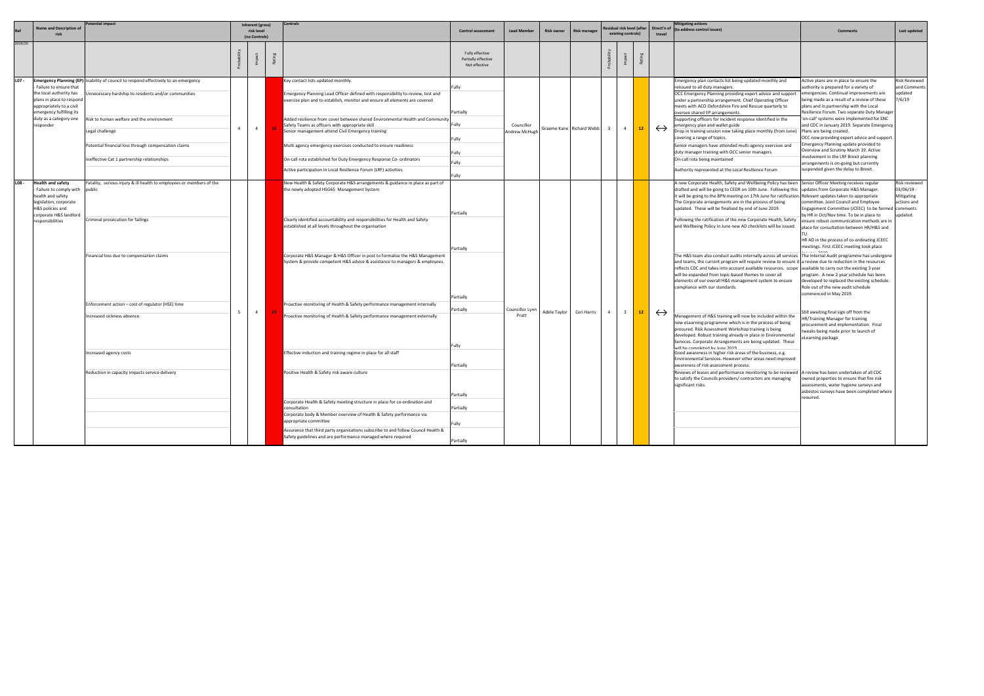|         | <b>Name and Description of</b><br>risk                                                                                                                                        | tential impact                                                                                                                                                                                                                                                                                                     |                | Inherent (gross)<br>risk level<br>(no Controls) | <b>Controls</b>                                                                                                                                                                                                                                                                                                                                                                                                                                                                                                                                                                                           | <b>Control assessment</b>                                          | <b>Lead Member</b>          | <b>Risk owner</b> | <b>Risk manager</b>      |                | esidual risk level (after<br>existing controls) |         | Direct'n of<br>travel | litigating actions<br>o address control issues)                                                                                                                                                                                                                                                                                                                                                                                                                                                                                                                                                                                                                                                                                                                                                                                                                                                                                                                                                                                     | <b>Comments</b>                                                                                                                                                                                                                                                                                                                                                                                                                                                                                                                                                                                                                                           | Last updated                                                         |
|---------|-------------------------------------------------------------------------------------------------------------------------------------------------------------------------------|--------------------------------------------------------------------------------------------------------------------------------------------------------------------------------------------------------------------------------------------------------------------------------------------------------------------|----------------|-------------------------------------------------|-----------------------------------------------------------------------------------------------------------------------------------------------------------------------------------------------------------------------------------------------------------------------------------------------------------------------------------------------------------------------------------------------------------------------------------------------------------------------------------------------------------------------------------------------------------------------------------------------------------|--------------------------------------------------------------------|-----------------------------|-------------------|--------------------------|----------------|-------------------------------------------------|---------|-----------------------|-------------------------------------------------------------------------------------------------------------------------------------------------------------------------------------------------------------------------------------------------------------------------------------------------------------------------------------------------------------------------------------------------------------------------------------------------------------------------------------------------------------------------------------------------------------------------------------------------------------------------------------------------------------------------------------------------------------------------------------------------------------------------------------------------------------------------------------------------------------------------------------------------------------------------------------------------------------------------------------------------------------------------------------|-----------------------------------------------------------------------------------------------------------------------------------------------------------------------------------------------------------------------------------------------------------------------------------------------------------------------------------------------------------------------------------------------------------------------------------------------------------------------------------------------------------------------------------------------------------------------------------------------------------------------------------------------------------|----------------------------------------------------------------------|
| 2019/20 |                                                                                                                                                                               |                                                                                                                                                                                                                                                                                                                    |                |                                                 |                                                                                                                                                                                                                                                                                                                                                                                                                                                                                                                                                                                                           | Fully effective<br>Partially effective<br>Not effective            |                             |                   |                          |                |                                                 |         |                       |                                                                                                                                                                                                                                                                                                                                                                                                                                                                                                                                                                                                                                                                                                                                                                                                                                                                                                                                                                                                                                     |                                                                                                                                                                                                                                                                                                                                                                                                                                                                                                                                                                                                                                                           |                                                                      |
| L07 -   | Failure to ensure that<br>the local authority has<br>plans in place to respond<br>appropriately to a civil<br>emergency fulfilling its<br>duty as a category one<br>responder | Emergency Planning (EP) Inability of council to respond effectively to an emergency<br>Jnnecessary hardship to residents and/or communities<br>Risk to human welfare and the environment<br>Legal challenge<br>Potential financial loss through compensation claims<br>Ineffective Cat 1 partnership relationships | $\overline{4}$ | $\overline{4}$                                  | Key contact lists updated monthly.<br>Emergency Planning Lead Officer defined with responsibility to review, test and<br>exercise plan and to establish, monitor and ensure all elements are covered<br>Added resilience from cover between shared Environmental Health and Community<br>Safety Teams as officers with appropriate skill<br>Senior management attend Civil Emergency training<br>Multi agency emergency exercises conducted to ensure readiness<br>On-call rota established for Duty Emergency Response Co- ordinators<br>Active participation in Local Resilience Forum (LRF) activities | Fully<br>Partially<br>Fully<br>Fully<br>Fully<br>Fully<br>Fully    | Councillor<br>Andrew McHugh |                   | Graeme Kane Richard Webb |                | $\overline{4}$                                  | $12-12$ | $\leftrightarrow$     | Emergency plan contacts list being updated monthly and<br>eissued to all duty managers.<br>OCC Emergency Planning providing expert advice and support<br>under a partnership arrangement. Chief Operating Officer<br>neets with ACO Oxfordshire Fire and Rescue quarterly to<br>oversee shared EP arrangements.<br>Supporting officers for incident response identified in the<br>mergency plan and wallet guide<br>Drop in training session now taking place monthly (from June)<br>covering a range of topics.<br>Senior managers have attended multi-agency exercises and<br>duty manager training with OCC senior managers.<br>On-call rota being maintained<br>Authority represented at the Local Resilience Forum                                                                                                                                                                                                                                                                                                             | Active plans are in place to ensure the<br>authority is prepared for a variety of<br>emergencies. Continual improvements are<br>being made as a result of a review of these<br>plans and in partnership with the Local<br>Resilience Forum. Two separate Duty Manage<br>'on-call' systems were implemented for SNC<br>and CDC in January 2019. Separate Emergency<br>Plans are being created.<br>OCC now providing expert advice and support<br>Emergency Planning update provided to<br>Overview and Scrutiny March 19. Active<br>nvolvement in the LRF Brexit planning<br>arrangements is on-going but currently<br>uspended given the delay to Brexit. | Risk Reviewed<br><b>nd Comments</b><br>ipdated<br>/6/19              |
| L08 -   | <b>Health and safety</b><br>Failure to comply with<br>health and safety<br>legislation, corporate<br>H&S policies and<br>corporate H&S landlord<br>responsibilities           | Fatality, serious injury & ill health to employees or members of the<br>public<br>Criminal prosecution for failings<br>Financial loss due to compensation claims                                                                                                                                                   |                |                                                 | New Health & Safety Corporate H&S arrangements & guidance in place as part of<br>the newly adopted HSG65 Management System<br>Clearly identified accountability and responsibilities for Health and Safety<br>established at all levels throughout the organisation<br>Corporate H&S Manager & H&S Officer in post to formalise the H&S Management<br>System & provide competent H&S advice & assistance to managers & employees.                                                                                                                                                                         | Partially<br>Partially<br>Partially                                |                             |                   |                          |                |                                                 |         |                       | A new Corporate Health, Safety and Wellbeing Policy has been<br>drafted and will be going to CEDR on 10th June. Following this updates from Corporate H&S Manager.<br>it will be going to the BPN meeting on 17th June for ratification. Relevant updates taken to appropriate<br>The Corporate arrangements are in the process of being<br>updated. These will be finalised by end of June 2019.<br>ollowing the ratification of the new Corporate Health, Safety<br>and Wellbeing Policy in June new AD checklists will be issued.<br>The H&S team also conduct audits internally across all services The Internal Audit programme has undergone<br>and teams, the current program will require review to ensure it a review due to reduction in the resources<br>reflects CDC and takes into account available resources. scope available to carry out the existing 3 year<br>will be expanded from topic-based themes to cover all<br>elements of our overall H&S management system to ensure<br>compliance with our standards. | Senior Officer Meeting receives regular<br>committee. Joint Council and Employee<br>Engagement Committee (JCEEC) to be formed comments<br>by HR in Oct/Nov time. To be in place to<br>ensure robust communication methods are in<br>place for consultation between HR/H&S and<br>HR AD in the process of co-ordinating JCEEC<br>meetings. First JCEEC meeting took place<br>program. A new 2 year schedule has been<br>developed to replaced the existing schedule.<br>Role out of the new audit schedule<br>commenced in May 2019.                                                                                                                       | Risk reviewed<br>03/06/19 -<br>Mitigating<br>actions and<br>ipdated. |
|         |                                                                                                                                                                               | Enforcement action - cost of regulator (HSE) time<br>Increased sickness absence<br>Increased agency costs<br>Reduction in capacity impacts service delivery                                                                                                                                                        | $5^{\circ}$    | 4                                               | Proactive monitoring of Health & Safety performance management internally<br>Proactive monitoring of Health & Safety performance management externally<br>Effective induction and training regime in place for all staff<br>Positive Health & Safety risk aware culture<br>Corporate Health & Safety meeting structure in place for co-ordination and<br>consultation<br>Corporate body & Member overview of Health & Safety performance via<br>appropriate committee                                                                                                                                     | Partially<br>Fully<br>Partially<br>Partially<br>Partially<br>Fully | Councillor Lynn<br>Pratt    | Adele Taylor      | Ceri Harris              | $\overline{4}$ | 3 <sup>1</sup>                                  | $12-12$ | $\leftrightarrow$     | Management of H&S training will now be included within the<br>new eLearning programme which is in the process of being<br>procured. Risk Assessment Workshop training is being<br>developed. Robust training already in place in Environmental<br>Services. Corporate Arrangements are being updated. These<br>will he completed by June 2019<br>Good awareness in higher risk areas of the business, e.g.<br>Environmental Services. However other areas need improved<br>awareness of risk assessment process.<br>Reviews of leases and performance monitoring to be reviewed   A review has been undertaken of all CDC<br>to satisfy the Councils providers/ contractors are managing<br>significant risks.                                                                                                                                                                                                                                                                                                                      | Still awaiting final sign off from the<br>HR/Training Manager for training<br>procurement and implementation. Final<br>tweaks being made prior to launch of<br>eLearning package<br>owned properties to ensure that fire risk<br>assessments, water hygiene surveys and<br>asbestos surveys have been completed where<br>hariinad                                                                                                                                                                                                                                                                                                                         |                                                                      |
|         |                                                                                                                                                                               |                                                                                                                                                                                                                                                                                                                    |                |                                                 | Assurance that third party organisations subscribe to and follow Council Health &<br>Safety guidelines and are performance managed where required                                                                                                                                                                                                                                                                                                                                                                                                                                                         | Partially                                                          |                             |                   |                          |                |                                                 |         |                       |                                                                                                                                                                                                                                                                                                                                                                                                                                                                                                                                                                                                                                                                                                                                                                                                                                                                                                                                                                                                                                     |                                                                                                                                                                                                                                                                                                                                                                                                                                                                                                                                                                                                                                                           |                                                                      |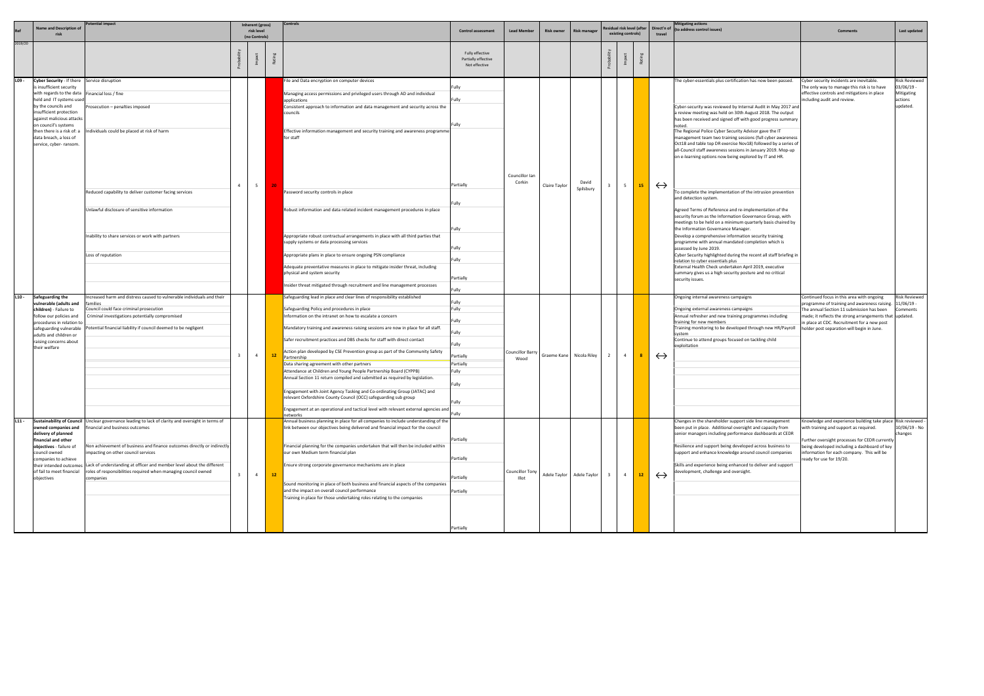|                   | <b>Name and Description of</b><br>risk                                                                                                                                                                                                                                                                                                           | ential impact                                                                                                                                                                                                                                                                                                                                                                                                                         | Inherent (gross)<br>risk level<br>(no Controls) |    | Control:                                                                                                                                                                                                                                                                                                                                                                                                                                                                                                                                                                                                                                                                                                                                                                                                                                                                                                                                                                              | <b>Control assessment</b>                                                                                        | <b>Lead Member</b>       | <b>Risk owner</b><br><b>Risk manager</b> |                    |              | esidual risk level (after<br>existing controls) |    | Direct'n of<br>travel | <b>Mitigating actions</b><br>(to address control issues)                                                                                                                                                                                                                                                                                                                                                                                                                                                                                                                                                                                                                                                                                                                                                                                                                                                                                                                                                                                                                                                                                                                                                                                                                    | <b>Comments</b>                                                                                                                                                                                                                                                                                          | Last updated                                                            |
|-------------------|--------------------------------------------------------------------------------------------------------------------------------------------------------------------------------------------------------------------------------------------------------------------------------------------------------------------------------------------------|---------------------------------------------------------------------------------------------------------------------------------------------------------------------------------------------------------------------------------------------------------------------------------------------------------------------------------------------------------------------------------------------------------------------------------------|-------------------------------------------------|----|---------------------------------------------------------------------------------------------------------------------------------------------------------------------------------------------------------------------------------------------------------------------------------------------------------------------------------------------------------------------------------------------------------------------------------------------------------------------------------------------------------------------------------------------------------------------------------------------------------------------------------------------------------------------------------------------------------------------------------------------------------------------------------------------------------------------------------------------------------------------------------------------------------------------------------------------------------------------------------------|------------------------------------------------------------------------------------------------------------------|--------------------------|------------------------------------------|--------------------|--------------|-------------------------------------------------|----|-----------------------|-----------------------------------------------------------------------------------------------------------------------------------------------------------------------------------------------------------------------------------------------------------------------------------------------------------------------------------------------------------------------------------------------------------------------------------------------------------------------------------------------------------------------------------------------------------------------------------------------------------------------------------------------------------------------------------------------------------------------------------------------------------------------------------------------------------------------------------------------------------------------------------------------------------------------------------------------------------------------------------------------------------------------------------------------------------------------------------------------------------------------------------------------------------------------------------------------------------------------------------------------------------------------------|----------------------------------------------------------------------------------------------------------------------------------------------------------------------------------------------------------------------------------------------------------------------------------------------------------|-------------------------------------------------------------------------|
| 2019/20           |                                                                                                                                                                                                                                                                                                                                                  |                                                                                                                                                                                                                                                                                                                                                                                                                                       |                                                 | ്  |                                                                                                                                                                                                                                                                                                                                                                                                                                                                                                                                                                                                                                                                                                                                                                                                                                                                                                                                                                                       | Fully effective<br>Partially effective<br>Not effective                                                          |                          |                                          |                    |              |                                                 |    |                       |                                                                                                                                                                                                                                                                                                                                                                                                                                                                                                                                                                                                                                                                                                                                                                                                                                                                                                                                                                                                                                                                                                                                                                                                                                                                             |                                                                                                                                                                                                                                                                                                          |                                                                         |
| LO9 -             | Cyber Security - If there Service disruption<br>is insufficient security<br>with regards to the data Financial loss / fine<br>held and IT systems used<br>by the councils and<br>insufficient protection<br>against malicious attacks<br>on council's systems<br>then there is a risk of: a<br>data breach, a loss of<br>service, cyber- ransom. | rosecution - penalties imposed<br>Individuals could be placed at risk of harm<br>Reduced capability to deliver customer facing services<br>Unlawful disclosure of sensitive information<br>Inability to share services or work with partners<br>Loss of reputation                                                                                                                                                                    | 5 <sup>5</sup><br>$\overline{4}$                |    | File and Data encryption on computer devices<br>Managing access permissions and privileged users through AD and individual<br>applications<br>Consistent approach to information and data management and security across the<br>councils<br>Effective information management and security training and awareness programme<br>for staff<br>Password security controls in place<br>Robust information and data related incident management procedures in place<br>Appropriate robust contractual arrangements in place with all third parties that<br>supply systems or data processing services<br>Appropriate plans in place to ensure ongoing PSN compliance<br>Adequate preventative measures in place to mitigate insider threat, including<br>physical and system security                                                                                                                                                                                                       | Fully<br>Fully<br>Fullv<br>Partially<br>Fully<br>Fully<br>Fully<br>Partially                                     | Councillor Ian<br>Corkin | Claire Taylor                            | David<br>Spilsbury |              | 5 <sup>5</sup>                                  | 15 | $\leftrightarrow$     | The cyber-essentials plus certification has now been passed.<br>Cyber-security was reviewed by Internal Audit in May 2017 and<br>a review meeting was held on 30th August 2018. The output<br>has been received and signed off with good progress summary<br>The Regional Police Cyber Security Advisor gave the IT<br>management team two training sessions (full cyber awareness<br>Oct18 and table top DR exercise Nov18) followed by a series of<br>all-Council staff awareness sessions in January 2019. Mop-up<br>on e-learning options now being explored by IT and HR.<br>To complete the implementation of the intrusion prevention<br>and detection system.<br>Agreed Terms of Reference and re-implementation of the<br>security forum as the Information Governance Group, with<br>meetings to be held on a minimum quarterly basis chaired by<br>the Information Governance Manager.<br>Develop a comprehensive information security training<br>programme with annual mandated completion which is<br>assessed by June 2019.<br>Cyber Security highlighted during the recent all staff briefing in<br>relation to cyber essentials plus<br>External Health Check undertaken April 2019, executive<br>summary gives us a high security posture and no critical | Cyber security incidents are inevitable.<br>The only way to manage this risk is to have<br>effective controls and mitigations in place<br>including audit and review.                                                                                                                                    | lisk Reviewed<br>13/06/19 -<br><b>Aitigating</b><br>actions<br>updated. |
| L <sub>10</sub> - | Safeguarding the<br>vulnerable (adults and<br>children) - Failure to<br>follow our policies and<br>procedures in relation to<br>safeguarding vulnerable<br>adults and children or<br>raising concerns about<br>their welfare                                                                                                                     | Increased harm and distress caused to vulnerable individuals and their<br>amilies<br>ouncil could face criminal prosecution.<br>Criminal investigations potentially compromised<br>tential financial liability if council deemed to be negligent                                                                                                                                                                                      | $\overline{3}$<br>$\overline{4}$                | 12 | nsider threat mitigated through recruitment and line management processes<br>Safeguarding lead in place and clear lines of responsibility established<br>Safeguarding Policy and procedures in place<br>Information on the intranet on how to escalate a concern<br>Mandatory training and awareness raising sessions are now in place for all staff.<br>Safer recruitment practices and DBS checks for staff with direct contact<br>Action plan developed by CSE Prevention group as part of the Community Safety<br>Partnership<br>Data sharing agreement with other partners<br>Attendance at Children and Young People Partnership Board (CYPPB)<br>Annual Section 11 return compiled and submitted as required by legislation.<br>ngagement with Joint Agency Tasking and Co-ordinating Group (JATAC) and<br>relevant Oxfordshire County Council (OCC) safeguarding sub group<br>Engagement at an operational and tactical level with relevant external agencies and<br>networks | Fully<br>Fully<br>Fully<br>Fully<br>Fully<br>Fully<br>Partially<br>Partially<br>Fully<br>Fully<br>Fully<br>Fully | Councillor Barry<br>Wood | Graeme Kane                              | Nicola Riley       | 2            | $\overline{4}$                                  |    | $\leftrightarrow$     | security issues.<br>Ongoing internal awareness campaigns<br>Ongoing external awareness campaigns<br>Annual refresher and new training programmes including<br>training for new members<br>Training monitoring to be developed through new HR/Payroll<br>system<br>Continue to attend groups focused on tackling child<br>exploitation                                                                                                                                                                                                                                                                                                                                                                                                                                                                                                                                                                                                                                                                                                                                                                                                                                                                                                                                       | Continued focus in this area with ongoing<br>programme of training and awareness raising. 11/06/19 -<br>The annual Section 11 submission has been<br>made; it reflects the strong arrangements that updated.<br>n place at CDC. Recruitment for a new post<br>holder post separation will begin in June. | Risk Reviewed<br>Comments                                               |
| $L11 -$           | owned companies and<br>delivery of planned<br>financial and other<br>objectives - failure of<br>council owned<br>companies to achieve<br>of fail to meet financial<br>objectives                                                                                                                                                                 | Sustainability of Council Unclear governance leading to lack of clarity and oversight in terms of<br>inancial and business outcomes<br>Non achievement of business and finance outcomes directly or indirectly<br>impacting on other council services<br>their intended outcomes Lack of understanding at officer and member level about the different<br>roles of responsibilities required when managing council owned<br>companies | $\overline{4}$<br>$\overline{3}$                | 12 | Annual business planning in place for all companies to include understanding of the<br>ink between our objectives being delivered and financial impact for the council<br>Financial planning for the companies undertaken that will then be included within<br>our own Medium term financial plan<br>Ensure strong corporate governance mechanisms are in place<br>Sound monitoring in place of both business and financial aspects of the companies<br>and the impact on overall council performance<br>Training in place for those undertaking roles relating to the companies                                                                                                                                                                                                                                                                                                                                                                                                      | Partially<br>Partially<br>Partially<br>Partially<br>Partially                                                    | Councillor Tony<br>Illot | Adele Taylor                             | Adele Taylor       | $\mathbf{B}$ | $\overline{a}$                                  | 12 | $\leftrightarrow$     | Changes in the shareholder support side line management<br>been put in place. Additional oversight and capacity from<br>senior managers including performance dashboards at CEDR<br>Resilience and support being developed across business to<br>support and enhance knowledge around council companies<br>Skills and experience being enhanced to deliver and support<br>evelopment, challenge and oversight.                                                                                                                                                                                                                                                                                                                                                                                                                                                                                                                                                                                                                                                                                                                                                                                                                                                              | Knowledge and experience building take place Risk reviewed -<br>with training and support as required.<br>Further oversight processes for CEDR currently<br>being developed including a dashboard of key<br>information for each company. This will be<br>ready for use for 19/20.                       | 10/06/19 - No<br>changes                                                |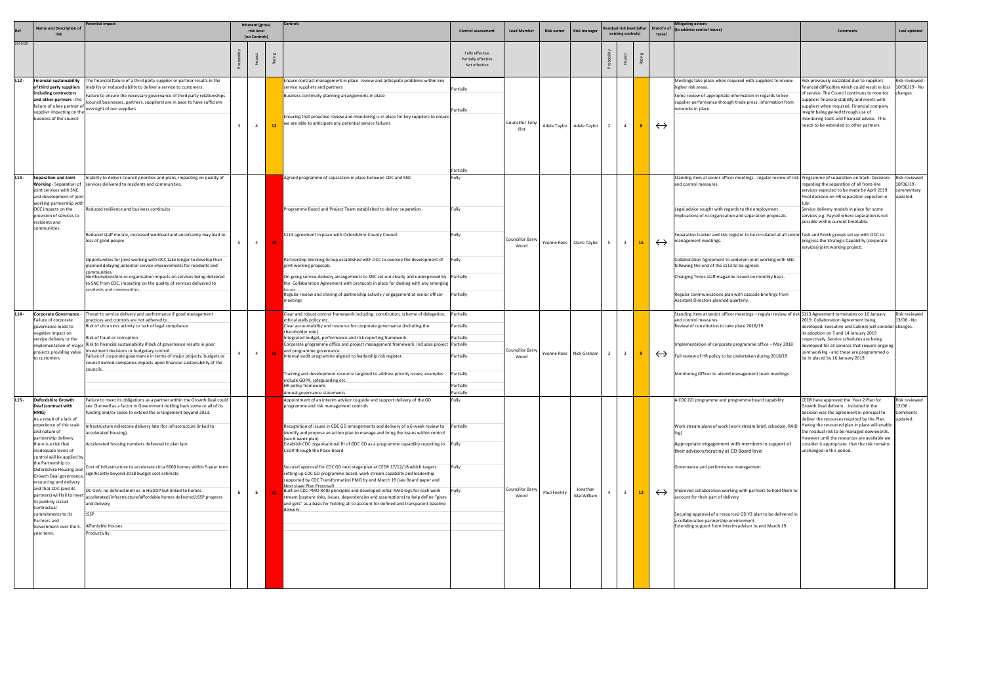|         | Name and Description                                                                                                                                                                                                                                                                                                                                                                                                                                                                         | tential impact                                                                                                                                                                                                                                                                                                                                                                                                                                                                                                                                                                                                                                                                                                                                 |   | Inherent (gross)            |     |                                                                                                                                                                                                                                                                                                                                                                                                                                                                                                                                                                                                                                                                                                                                                                                                                                                                                                                                                                                                      |                                                                            |                          |                           |                         |                         | esidual risk level (after | Direct'n of       | <b>Mitigating actions</b>                                                                                                                                                                                                                                                                                                                                                                                                                                                                                                                                                                |                                                                                                                                                                                                                                                                                                                                                                               |                                                     |
|---------|----------------------------------------------------------------------------------------------------------------------------------------------------------------------------------------------------------------------------------------------------------------------------------------------------------------------------------------------------------------------------------------------------------------------------------------------------------------------------------------------|------------------------------------------------------------------------------------------------------------------------------------------------------------------------------------------------------------------------------------------------------------------------------------------------------------------------------------------------------------------------------------------------------------------------------------------------------------------------------------------------------------------------------------------------------------------------------------------------------------------------------------------------------------------------------------------------------------------------------------------------|---|-----------------------------|-----|------------------------------------------------------------------------------------------------------------------------------------------------------------------------------------------------------------------------------------------------------------------------------------------------------------------------------------------------------------------------------------------------------------------------------------------------------------------------------------------------------------------------------------------------------------------------------------------------------------------------------------------------------------------------------------------------------------------------------------------------------------------------------------------------------------------------------------------------------------------------------------------------------------------------------------------------------------------------------------------------------|----------------------------------------------------------------------------|--------------------------|---------------------------|-------------------------|-------------------------|---------------------------|-------------------|------------------------------------------------------------------------------------------------------------------------------------------------------------------------------------------------------------------------------------------------------------------------------------------------------------------------------------------------------------------------------------------------------------------------------------------------------------------------------------------------------------------------------------------------------------------------------------------|-------------------------------------------------------------------------------------------------------------------------------------------------------------------------------------------------------------------------------------------------------------------------------------------------------------------------------------------------------------------------------|-----------------------------------------------------|
|         |                                                                                                                                                                                                                                                                                                                                                                                                                                                                                              |                                                                                                                                                                                                                                                                                                                                                                                                                                                                                                                                                                                                                                                                                                                                                |   | risk level<br>(no Controls) |     |                                                                                                                                                                                                                                                                                                                                                                                                                                                                                                                                                                                                                                                                                                                                                                                                                                                                                                                                                                                                      | <b>Control assessment</b>                                                  | <b>Lead Member</b>       | <b>Risk owner</b>         | <b>Risk manager</b>     |                         | existing controls)        | travel            | o address control issues)                                                                                                                                                                                                                                                                                                                                                                                                                                                                                                                                                                | <b>Comments</b>                                                                                                                                                                                                                                                                                                                                                               | Last updated                                        |
| 2019/20 |                                                                                                                                                                                                                                                                                                                                                                                                                                                                                              |                                                                                                                                                                                                                                                                                                                                                                                                                                                                                                                                                                                                                                                                                                                                                |   |                             | Rat |                                                                                                                                                                                                                                                                                                                                                                                                                                                                                                                                                                                                                                                                                                                                                                                                                                                                                                                                                                                                      | Fully effective<br>Partially effective<br>Not effective                    |                          |                           |                         |                         |                           |                   |                                                                                                                                                                                                                                                                                                                                                                                                                                                                                                                                                                                          |                                                                                                                                                                                                                                                                                                                                                                               |                                                     |
| $L12 -$ | <b>Financial sustainability</b><br>of third party suppliers<br>including contractors<br>and other partners - the<br>failure of a key partner c<br>supplier impacting on the<br>business of the council                                                                                                                                                                                                                                                                                       | The financial failure of a third party supplier or partner results in the<br>ability or reduced ability to deliver a service to customers.<br>Failure to ensure the necessary governance of third party relationships<br>council businesses, partners, suppliers) are in pace to have sufficient<br>oversight of our suppliers                                                                                                                                                                                                                                                                                                                                                                                                                 |   | $\overline{4}$              |     | Ensure contract management in place review and anticipate problems within key<br>service suppliers and partners<br>Business continuity planning arrangements in place<br>Ensuring that proactive review and monitoring is in place for key suppliers to ensure<br>we are able to anticipate any potential service failures                                                                                                                                                                                                                                                                                                                                                                                                                                                                                                                                                                                                                                                                           | Partially<br>Partially<br>Partially                                        | Councillor Tony<br>Illot | Adele Taylor Adele Taylor |                         | 2                       | $\overline{4}$            | $\leftrightarrow$ | Meetings take place when required with suppliers to review<br>higher risk areas.<br>Some review of appropriate information in regards to key<br>supplier performance through trade press, information from<br>networks in place.                                                                                                                                                                                                                                                                                                                                                         | Risk previously escalated due to suppliers<br>financial difficulties which could result in loss<br>of service. The Council continues to monitor<br>uppliers financial stability and meets with<br>suppliers when required. Financial company<br>insight being gained through use of<br>monitoring tools and financial advice. This<br>needs to be extended to other partners. | Risk reviewed<br>.0/06/19 - No<br>changes           |
| $L13 -$ | <b>Separation and Joint</b><br><b>Working</b> - Separation of<br>joint services with SNC<br>and development of joint<br>working partnership with<br>OCC impacts on the<br>provision of services to<br>residents and<br>communities.                                                                                                                                                                                                                                                          | hability to deliver Council priorities and plans, impacting on quality of<br>services delivered to residents and communities.<br>Reduced resilience and business continuity                                                                                                                                                                                                                                                                                                                                                                                                                                                                                                                                                                    |   |                             |     | Agreed programme of separation in place between CDC and SNC<br>Programme Board and Project Team established to deliver separation.                                                                                                                                                                                                                                                                                                                                                                                                                                                                                                                                                                                                                                                                                                                                                                                                                                                                   | Fully<br>Fully                                                             |                          |                           |                         |                         |                           |                   | Standing item at senior officer meetings - regular review of risk Programme of separation on track. Decisions<br>and control measures.<br>Legal advice sought with regards to the employment<br>implications of re-organisation and separation proposals.                                                                                                                                                                                                                                                                                                                                | regarding the separation of all front-line<br>services expected to be made by April 2019.<br>Final decision on HR separation expected in<br>Service delivery models in place for some<br>services e.g. Payroll where separation is not<br>possible within current timetable.                                                                                                  | Risk reviewed<br>0/06/19 -<br>ommentary<br>ipdated. |
|         |                                                                                                                                                                                                                                                                                                                                                                                                                                                                                              | Reduced staff morale, increased workload and uncertainty may lead to<br>loss of good people<br>Opportunities for joint working with OCC take longer to develop than<br>planned delaying potential service improvements for residents and                                                                                                                                                                                                                                                                                                                                                                                                                                                                                                       | 5 | $\overline{4}$              | 20  | S113 agreement in place with Oxfordshire County Council<br>Partnership Working Group established with OCC to oversee the development of<br>joint working proposals.                                                                                                                                                                                                                                                                                                                                                                                                                                                                                                                                                                                                                                                                                                                                                                                                                                  | Fully<br>Fully                                                             | Councillor Barry<br>Wood | Yvonne Rees Claire Taylor |                         |                         | 15 <sub>1</sub>           | $\leftrightarrow$ | Separation tracker and risk register to be circulated at all senior Task and Finish groups set up with OCC to<br>management meetings.<br>Collaboration Agreement to underpin joint working with SNC<br>following the end of the s113 to be agreed.                                                                                                                                                                                                                                                                                                                                       | progress the Strategic Capability (corporate<br>services) joint working project.                                                                                                                                                                                                                                                                                              |                                                     |
|         |                                                                                                                                                                                                                                                                                                                                                                                                                                                                                              | ommunities<br>Northamptonshire re-organisation impacts on services being delivered<br>to SNC from CDC, impacting on the quality of services delivered to<br>residents and communities.                                                                                                                                                                                                                                                                                                                                                                                                                                                                                                                                                         |   |                             |     | On-going service delivery arrangements to SNC set out clearly and underpinned by Partially<br>the Collaboration Agreement with protocols in place for dealing with any emerging<br>issues<br>Regular review and sharing of partnership activity / engagement at senior officer<br>meetings                                                                                                                                                                                                                                                                                                                                                                                                                                                                                                                                                                                                                                                                                                           | Partially                                                                  |                          |                           |                         |                         |                           |                   | Changing Times staff magazine issued on monthly basis.<br>Regular communications plan with cascade briefings from<br>Assistant Directors planned quarterly.                                                                                                                                                                                                                                                                                                                                                                                                                              |                                                                                                                                                                                                                                                                                                                                                                               |                                                     |
| $L14 -$ | <b>Corporate Governance</b><br>Failure of corporate<br>governance leads to<br>negative impact on<br>service delivery or the<br>projects providing value<br>to customers.                                                                                                                                                                                                                                                                                                                     | Threat to service delivery and performance if good management<br>practices and controls are not adhered to.<br>Risk of ultra vires activity or lack of legal compliance<br>Risk of fraud or corruption<br>implementation of major Risk to financial sustainability if lack of governance results in poor<br>ivestment decisions or budgetary control.<br>Failure of corporate governance in terms of major projects, budgets or<br>council owned companies impacts upon financial sustainability of the<br>councils.                                                                                                                                                                                                                           |   | $\overline{4}$              |     | Clear and robust control framework including: constitution, scheme of delegation, Partially<br>ethical walls policy etc.<br>Clear accountability and resource for corporate governance (including the<br>shareholder role).<br>Integrated budget, performance and risk reporting framework.<br>Corporate programme office and project management framework. Includes project Partially<br>and programme governance.<br>Internal audit programme aligned to leadership risk register.<br>Fraining and development resource targeted to address priority issues; examples<br>include GDPR, safeguarding etc.<br>HR policy framework.<br>Annual governance statements                                                                                                                                                                                                                                                                                                                                   | Partially<br>Partially<br>Partially<br>Partially<br>Partially<br>Partially | Councillor Barry<br>Wood |                           | Yvonne Rees Nick Graham | $\overline{\mathbf{3}}$ |                           | $\leftrightarrow$ | Standing item at senior officer meetings - regular review of risk S113 Agreement terminates on 16 January<br>and control measures<br>Review of constitution to take place 2018/19<br>mplementation of corporate programme office - May 2018<br>Full review of HR policy to be undertaken during 2018/19<br>Monitoring Officer to attend management team meetings                                                                                                                                                                                                                         | 2019. Collaboration Agreement being<br>developed. Executive and Cabinet will consider changes.<br>its adoption on 7 and 14 January 2019<br>respectively. Service schedules are being<br>developed for all services that require ongoin<br>joint working - and these are programmed o<br>be in placed by 16 January 2019.                                                      | Risk reviewed<br>.3/06 - No                         |
| $L15 -$ | <b>Oxfordshire Growth</b><br>Deal (contract with<br>HMG)<br>As a result of a lack of<br>experience of this scale<br>and nature of<br>partnership delivery<br>there is a risk that<br>inadequate levels of<br>control will be applied by<br>the Partnership to<br>Oxfordshire Housing and<br>resourcing and delivery<br>and that CDC (and its<br>partners) will fail to me<br>its publicly stated<br>Contractual<br>commitments to its<br>Partners and<br>Government over the 5<br>year term. | Failure to meet its obligations as a partner within the Growth Deal could<br>see Cherwell as a factor in Government holding back some or all of its<br>funding and/or cease to extend the arrangement beyond 2023.<br>Infrastructure milestone delivery late (for infrastructure linked to<br>accelerated housing)<br>Accelerated housing numbers delivered to plan late<br>Cost of infrastructure to accelerate circa 6500 homes within 5-year term<br>Growth Deal governance, significantly beyond 2018 budget cost estimate<br>DC GVA: no defined metrics in HGDDP but linked to homes<br>et accelerated/infrastructure/affordable homes delivered/JSSP progress<br>and delivery<br><b>JSSP</b><br><b>Affordable Houses</b><br>Productivity |   | 5 <sub>1</sub>              |     | Appointment of an interim advisor to guide and support delivery of the GD<br>programme and risk management controls<br>Recognition of issues in CDC GD arrangements and delivery of a 6-week review to Partially<br>identify and propose an action plan to manage and bring the issues within control<br>(see 6-week nlan)<br>Establish CDC organisational fit of GDC GD as a programme capability reporting to Fully<br>CEDR through the Place Board<br>Secured approval for CDC GD next stage plan at CEDR 17/12/18 which targets<br>setting up CDC GD programme board, work stream capability and leadership<br>supported by CDC Transformation PMO by end March 19 (see Board paper and<br>Next stage Plan Pronosal)<br>Built on CDC PMO RAID principles and developed initial RAID logs for each work<br>stream (capture risks, issues, dependencies and assumptions) to help define "gives<br>and gets" as a basis for holding all to account for defined and transparent baseline<br>delivery | Fully<br>Fully<br>Fully                                                    | Councillor Barry<br>Wood | Paul Feehily              | Jonathan<br>MacWilliam  |                         | 12 <sub>2</sub>           | $\leftrightarrow$ | A CDC GD programme and programme board capability<br>Work stream plans of work (work stream brief, schedule, RAID Having the resourced plan in place will enable<br>Appropriate engagement with members in support of<br>their advisory/scrutiny at GD Board level<br>Governance and performance management<br>Improved collaboration working with partners to hold them to<br>account for their part of delivery<br>Securing approval of a resourced GD Y2 plan to be delivered in<br>a collaborative partnership environment<br>Extending support from interim advisor to end March 19 | CEDR have approved the Year 2 Plan for<br>Growth Deal delivery. Included in the<br>decision was the agreement in principal to<br>deliver the resources required by the Plan.<br>the residual risk to be managed downwards.<br>However until the resources are available we<br>consider it appropriate that the risk remains<br>unchanged in this period.                      | lisk reviewed<br>2/06 -<br>omments<br>pdated.       |